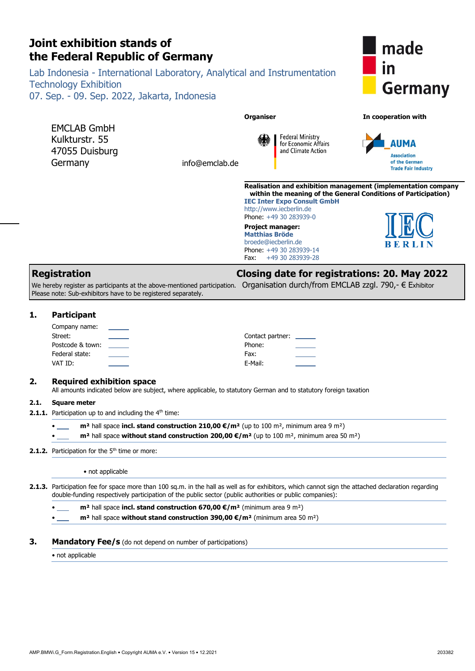<span id="page-0-2"></span><span id="page-0-1"></span><span id="page-0-0"></span>

|      | Joint exhibition stands of<br>made<br>the Federal Republic of Germany<br>$\mathsf{I}$<br>Lab Indonesia - International Laboratory, Analytical and Instrumentation<br><b>Technology Exhibition</b><br><b>Germany</b><br>07. Sep. - 09. Sep. 2022, Jakarta, Indonesia |                                                                           |                                                                                                                                                                                                                                                           |                                                                          |                                                                                                                                        |                                                                                                                                                    |
|------|---------------------------------------------------------------------------------------------------------------------------------------------------------------------------------------------------------------------------------------------------------------------|---------------------------------------------------------------------------|-----------------------------------------------------------------------------------------------------------------------------------------------------------------------------------------------------------------------------------------------------------|--------------------------------------------------------------------------|----------------------------------------------------------------------------------------------------------------------------------------|----------------------------------------------------------------------------------------------------------------------------------------------------|
|      |                                                                                                                                                                                                                                                                     |                                                                           |                                                                                                                                                                                                                                                           |                                                                          |                                                                                                                                        |                                                                                                                                                    |
|      | <b>EMCLAB GmbH</b><br>Kulkturstr, 55<br>47055 Duisburg<br>Germany                                                                                                                                                                                                   |                                                                           | info@emclab.de                                                                                                                                                                                                                                            | <b>Organiser</b>                                                         | <b>Federal Ministry</b><br>for Economic Affairs<br>and Climate Action                                                                  | In cooperation with<br>AIIMA<br><b>Association</b><br>of the German<br><b>Trade Fair Industry</b>                                                  |
|      |                                                                                                                                                                                                                                                                     |                                                                           |                                                                                                                                                                                                                                                           | Project manager:<br><b>Matthias Bröde</b><br>broede@iecberlin.de<br>Fax: | <b>IEC Inter Expo Consult GmbH</b><br>http://www.iecberlin.de<br>Phone: +49 30 283939-0<br>Phone: +49 30 283939-14<br>+49 30 283939-28 | Realisation and exhibition management (implementation company<br>within the meaning of the General Conditions of Participation)<br>BERLIN          |
|      | <b>Registration</b>                                                                                                                                                                                                                                                 |                                                                           | We hereby register as participants at the above-mentioned participation.                                                                                                                                                                                  |                                                                          |                                                                                                                                        | <b>Closing date for registrations: 20. May 2022</b><br>Organisation durch/from EMCLAB zzgl. 790,- € Exhibitor                                      |
|      |                                                                                                                                                                                                                                                                     | Please note: Sub-exhibitors have to be registered separately.             |                                                                                                                                                                                                                                                           |                                                                          |                                                                                                                                        |                                                                                                                                                    |
| 1.   | <b>Participant</b><br>Company name:<br>Street:<br>Postcode & town:<br>Federal state:<br>VAT ID:                                                                                                                                                                     |                                                                           |                                                                                                                                                                                                                                                           | Phone:<br>Fax:<br>E-Mail:                                                | Contact partner:                                                                                                                       |                                                                                                                                                    |
| 2.   | <b>Required exhibition space</b>                                                                                                                                                                                                                                    |                                                                           | All amounts indicated below are subject, where applicable, to statutory German and to statutory foreign taxation                                                                                                                                          |                                                                          |                                                                                                                                        |                                                                                                                                                    |
| 2.1. | <b>Square meter</b>                                                                                                                                                                                                                                                 | <b>2.1.1.</b> Participation up to and including the 4 <sup>th</sup> time: |                                                                                                                                                                                                                                                           |                                                                          |                                                                                                                                        |                                                                                                                                                    |
|      |                                                                                                                                                                                                                                                                     |                                                                           | $m2$ hall space incl. stand construction 210,00 $\epsilon/m2$ (up to 100 m <sup>2</sup> , minimum area 9 m <sup>2</sup> )<br>$m2$ hall space without stand construction 200,00 $\epsilon/m2$ (up to 100 m <sup>2</sup> , minimum area 50 m <sup>2</sup> ) |                                                                          |                                                                                                                                        |                                                                                                                                                    |
|      | 2.1.2. Participation for the 5 <sup>th</sup> time or more:                                                                                                                                                                                                          |                                                                           |                                                                                                                                                                                                                                                           |                                                                          |                                                                                                                                        |                                                                                                                                                    |
|      | • not applicable                                                                                                                                                                                                                                                    |                                                                           |                                                                                                                                                                                                                                                           |                                                                          |                                                                                                                                        |                                                                                                                                                    |
|      |                                                                                                                                                                                                                                                                     |                                                                           | double-funding respectively participation of the public sector (public authorities or public companies):                                                                                                                                                  |                                                                          |                                                                                                                                        | 2.1.3. Participation fee for space more than 100 sq.m. in the hall as well as for exhibitors, which cannot sign the attached declaration regarding |
|      |                                                                                                                                                                                                                                                                     |                                                                           | $m2$ hall space incl. stand construction 670,00 €/m <sup>2</sup> (minimum area 9 m <sup>2</sup> )<br>$m2$ hall space without stand construction 390,00 $\epsilon/m2$ (minimum area 50 m <sup>2</sup> )                                                    |                                                                          |                                                                                                                                        |                                                                                                                                                    |
| З.   |                                                                                                                                                                                                                                                                     |                                                                           | <b>Mandatory Fee/s</b> (do not depend on number of participations)                                                                                                                                                                                        |                                                                          |                                                                                                                                        |                                                                                                                                                    |
|      | • not applicable                                                                                                                                                                                                                                                    |                                                                           |                                                                                                                                                                                                                                                           |                                                                          |                                                                                                                                        |                                                                                                                                                    |

<span id="page-0-5"></span><span id="page-0-4"></span>**Joint exhibition stands of**

<span id="page-0-7"></span><span id="page-0-6"></span><span id="page-0-3"></span>AMP.BMWi.G\_Form.Registration.English • Copyright AUMA e.V. • Version 15 • 12.2021 203382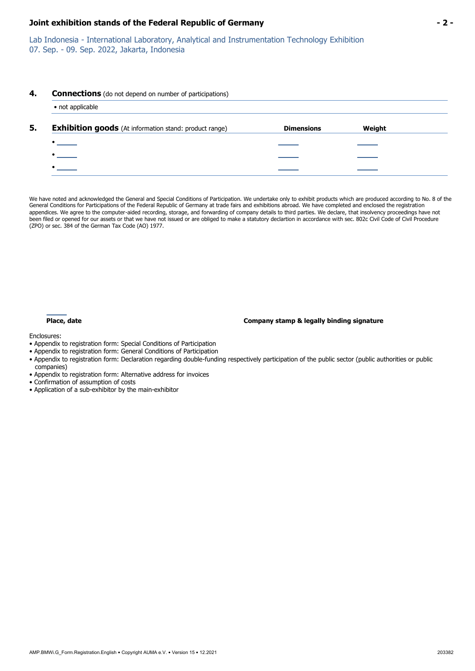#### **Joint exhibition stands of the Federal Republic of Germany - 2 -**

Lab Indonesia - International Laboratory, Analytical and Instrumentation Technology Exhibition 07. Sep. - 09. Sep. 2022, Jakarta, Indonesia

#### **4. Connections** (do not depend on number of participations)

| <b>Exhibition goods</b> (At information stand: product range) | <b>Dimensions</b> | Weight |
|---------------------------------------------------------------|-------------------|--------|
| $\bullet$                                                     |                   |        |
|                                                               |                   |        |
|                                                               |                   |        |

We have noted and acknowledged the General and Special Conditions of Participation. We undertake only to exhibit products which are produced according to No. 8 of the General Conditions for Participations of the Federal Republic of Germany at trade fairs and exhibitions abroad. We have completed and enclosed the registration appendices. We agree to the computer-aided recording, storage, and forwarding of company details to third parties. We declare, that insolvency proceedings have not been filed or opened for our assets or that we have not issued or are obliged to make a statutory declartion in accordance with sec. 802c Civil Code of Civil Procedure (ZPO) or sec. 384 of the German Tax Code (AO) 1977.

#### **Place, date Company stamp & legally binding signature**

Enclosures:

- Appendix to registration form: Special Conditions of Participation
- Appendix to registration form: General Conditions of Participation
- Appendix to registration form: Declaration regarding double-funding respectively participation of the public sector (public authorities or public companies)
- Appendix to registration form: Alternative address for invoices
- Confirmation of assumption of costs
- Application of a sub-exhibitor by the main-exhibitor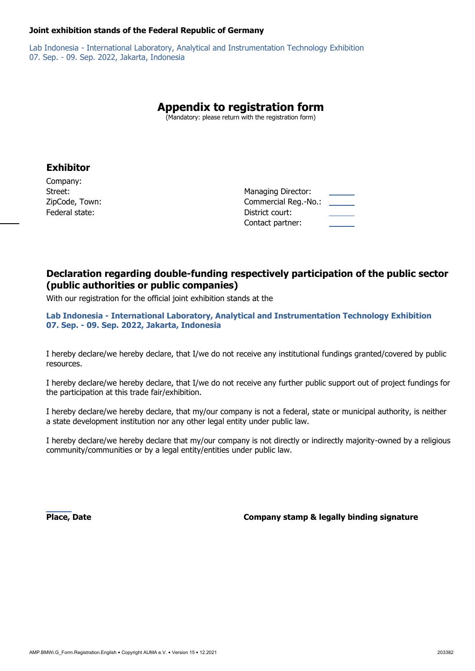#### **Joint exhibition stands of the Federal Republic of Germany**

Lab Indonesia - International Laboratory, Analytical and Instrumentation Technology Exhibition 07. Sep. - 09. Sep. 2022, Jakarta, Indonesia

# **Appendix to registration form**

(Mandatory: please return with the registration form)

## **Exhibitor**

Company: ZipCode,Town: **Commercial Reg.** Commercial Reg. (Commercial Reg. 2013) **Federalstate: District court: District court: District court: District court: District court: District court: District court: District court: District court: District court: District court: Distri** 

| Street:        | Managing Director:   |
|----------------|----------------------|
| ZipCode, Town: | Commercial Reg.-No.: |
| Federal state: | District court:      |
|                | Contact partner:     |

## **Declaration regarding double-funding respectively participation of the public sector (public authorities or public companies)**

With our registration for the official joint exhibition stands at the

**Lab Indonesia - International Laboratory, Analytical and Instrumentation Technology Exhibition 07. Sep. - 09. Sep. 2022, Jakarta, Indonesia**

I hereby declare/we hereby declare, that I/we do not receive any institutional fundings granted/covered by public resources.

I hereby declare/we hereby declare, that I/we do not receive any further public support out of project fundings for the participation at this trade fair/exhibition.

I hereby declare/we hereby declare, that my/our company is not a federal, state or municipal authority, is neither a state development institution nor any other legal entity under public law.

I hereby declare/we hereby declare that my/our company is not directly or indirectly majority-owned by a religious community/communities or by a legal entity/entities under public law.

**Place, Date Company stamp & legally binding signature**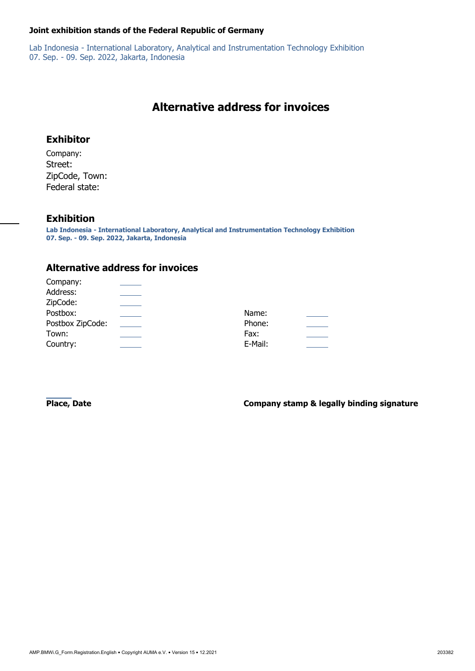## **Joint exhibition stands of the Federal Republic of Germany**

Lab Indonesia - International Laboratory, Analytical and Instrumentation Technology Exhibition 07. Sep. - 09. Sep. 2022, Jakarta, Indonesia

# <span id="page-3-4"></span>**Alternative address for invoices**

## **Exhibitor**

Company: Street: ZipCode, Town: Federal state:

## **Exhibition**

**Lab Indonesia - International Laboratory, Analytical and Instrumentation Technology Exhibition 07. Sep. - 09. Sep. 2022, Jakarta, Indonesia**

## **Alternative address for invoices**

<span id="page-3-10"></span><span id="page-3-9"></span><span id="page-3-8"></span><span id="page-3-7"></span><span id="page-3-6"></span><span id="page-3-5"></span><span id="page-3-3"></span><span id="page-3-2"></span><span id="page-3-1"></span><span id="page-3-0"></span>

| Company:         |         |  |
|------------------|---------|--|
| Address:         |         |  |
| ZipCode:         |         |  |
| Postbox:         | Name:   |  |
| Postbox ZipCode: | Phone:  |  |
| Town:            | Fax:    |  |
| Country:         | E-Mail: |  |

**Place, Date Company stamp & legally binding signature**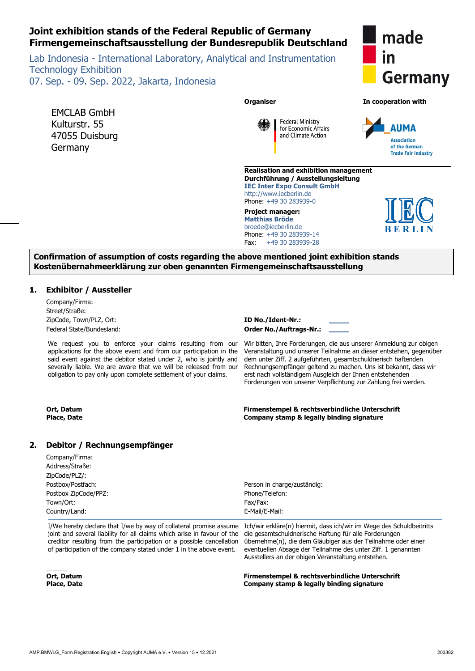## **Joint exhibition stands of the Federal Republic of Germany Firmengemeinschaftsausstellung der Bundesrepublik Deutschland**

Lab Indonesia - International Laboratory, Analytical and Instrumentation Technology Exhibition 07. Sep. - 09. Sep. 2022, Jakarta, Indonesia



**Organiser In cooperation with**



**Realisation and exhibition management Durchführung / Ausstellungsleitung IEC Inter Expo Consult GmbH** http://www.iecberlin.de Phone: +49 30 283939-0

**Federal Ministry** for Economic Affairs

and Climate Action

**Project manager: Matthias Bröde** broede@iecberlin.de Phone: +49 30 283939-14 Fax: +49 30 283939-28



**Confirmation of assumption of costs regarding the above mentioned joint exhibition stands Kostenübernahmeerklärung zur oben genannten Firmengemeinschaftsausstellung**

### **1. Exhibitor / Aussteller**

EMCLAB GmbH Kulturstr. 55 47055 Duisburg

Germany

|    | Company/Firma:<br>Street/Straße:<br>ZipCode, Town/PLZ, Ort:<br>Federal State/Bundesland:                                                                                                                                                                                                                                                   | ID No./Ident-Nr.:<br><b>Order No./Auftrags-Nr.:</b>                                                                                                                                                                                                                                                                                                                                                        |
|----|--------------------------------------------------------------------------------------------------------------------------------------------------------------------------------------------------------------------------------------------------------------------------------------------------------------------------------------------|------------------------------------------------------------------------------------------------------------------------------------------------------------------------------------------------------------------------------------------------------------------------------------------------------------------------------------------------------------------------------------------------------------|
|    | We request you to enforce your claims resulting from our<br>applications for the above event and from our participation in the<br>said event against the debitor stated under 2, who is jointly and<br>severally liable. We are aware that we will be released from our<br>obligation to pay only upon complete settlement of your claims. | Wir bitten, Ihre Forderungen, die aus unserer Anmeldung zur obigen<br>Veranstaltung und unserer Teilnahme an dieser entstehen, gegenüber<br>dem unter Ziff. 2 aufgeführten, gesamtschuldnerisch haftenden<br>Rechnungsempfänger geltend zu machen. Uns ist bekannt, dass wir<br>erst nach vollständigem Ausgleich der Ihnen entstehenden<br>Forderungen von unserer Verpflichtung zur Zahlung frei werden. |
|    | Ort, Datum<br><b>Place, Date</b>                                                                                                                                                                                                                                                                                                           | Firmenstempel & rechtsverbindliche Unterschrift<br>Company stamp & legally binding signature                                                                                                                                                                                                                                                                                                               |
| 2. | Debitor / Rechnungsempfänger                                                                                                                                                                                                                                                                                                               |                                                                                                                                                                                                                                                                                                                                                                                                            |
|    | Company/Firma:<br>Address/Straße:<br>ZipCode/PLZ/:                                                                                                                                                                                                                                                                                         |                                                                                                                                                                                                                                                                                                                                                                                                            |
|    | Postbox/Postfach:                                                                                                                                                                                                                                                                                                                          | Person in charge/zuständig:                                                                                                                                                                                                                                                                                                                                                                                |
|    | Postbox ZipCode/PPZ:                                                                                                                                                                                                                                                                                                                       | Phone/Telefon:                                                                                                                                                                                                                                                                                                                                                                                             |
|    | Town/Ort:                                                                                                                                                                                                                                                                                                                                  | Fax/Fax:                                                                                                                                                                                                                                                                                                                                                                                                   |
|    | Country/Land:                                                                                                                                                                                                                                                                                                                              | E-Mail/E-Mail:                                                                                                                                                                                                                                                                                                                                                                                             |
|    | I/We hereby declare that I/we by way of collateral promise assume<br>joint and several liability for all claims which arise in favour of the<br>creditor resulting from the participation or a possible cancellation<br>of participation of the company stated under 1 in the above event.                                                 | Ich/wir erkläre(n) hiermit, dass ich/wir im Wege des Schuldbeitritts<br>die gesamtschuldnerische Haftung für alle Forderungen<br>übernehme(n), die dem Gläubiger aus der Teilnahme oder einer<br>eventuellen Absage der Teilnahme des unter Ziff. 1 genannten<br>Ausstellers an der obigen Veranstaltung entstehen.                                                                                        |

**Firmenstempel & rechtsverbindliche Unterschrift Company stamp & legally binding signature**

**Ort, Datum Place, Date**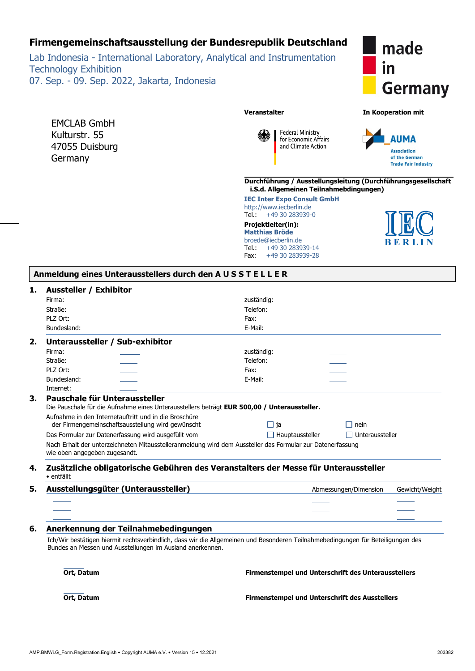## **Firmengemeinschaftsausstellung der Bundesrepublik Deutschland**

Lab Indonesia - International Laboratory, Analytical and Instrumentation Technology Exhibition 07. Sep. - 09. Sep. 2022, Jakarta, Indonesia

EMCLAB GmbH Kulturstr. 55 47055 Duisburg **Germany** 



**Veranstalter In Kooperation mit**

**Federal Ministry** for Economic Affairs and Climate Action



**Durchführung / Ausstellungsleitung (Durchführungsgesellschaft i.S.d. Allgemeinen Teilnahmebdingungen)**

**IEC Inter Expo Consult GmbH** http://www.iecberlin.de<br>Tel.: +49 30 283939-+49 30 283939-0

**Projektleiter(in): Matthias Bröde** broede@iecberlin.de Tel.: +49 30 283939-14 Fax: +49 30 283939-28

|  | <b>BERLIN</b> |  |
|--|---------------|--|

|  | Anmeldung eines Unterausstellers durch den AUSSTELLER |  |  |  |
|--|-------------------------------------------------------|--|--|--|
|  |                                                       |  |  |  |

#### **1. Aussteller / Exhibitor**

| Firma:           |                                                                                                                                             | zuständig:                                                                                                                       |  |  |  |  |  |
|------------------|---------------------------------------------------------------------------------------------------------------------------------------------|----------------------------------------------------------------------------------------------------------------------------------|--|--|--|--|--|
| Straße:          |                                                                                                                                             | Telefon:                                                                                                                         |  |  |  |  |  |
| PLZ Ort:         |                                                                                                                                             | Fax:                                                                                                                             |  |  |  |  |  |
| Bundesland:      |                                                                                                                                             | E-Mail:                                                                                                                          |  |  |  |  |  |
| 2.               | Unteraussteller / Sub-exhibitor                                                                                                             |                                                                                                                                  |  |  |  |  |  |
| Firma:           |                                                                                                                                             | zuständig:                                                                                                                       |  |  |  |  |  |
| Straße:          |                                                                                                                                             | Telefon:                                                                                                                         |  |  |  |  |  |
| PLZ Ort:         |                                                                                                                                             | Fax:                                                                                                                             |  |  |  |  |  |
| Bundesland:      |                                                                                                                                             | E-Mail:                                                                                                                          |  |  |  |  |  |
| Internet:        |                                                                                                                                             |                                                                                                                                  |  |  |  |  |  |
| 3.               | Pauschale für Unteraussteller                                                                                                               |                                                                                                                                  |  |  |  |  |  |
|                  | Die Pauschale für die Aufnahme eines Unterausstellers beträgt EUR 500,00 / Unteraussteller.                                                 |                                                                                                                                  |  |  |  |  |  |
|                  | Aufnahme in den Internetauftritt und in die Broschüre                                                                                       |                                                                                                                                  |  |  |  |  |  |
|                  | der Firmengemeinschaftsausstellung wird gewünscht                                                                                           | $\Box$ ja<br>$\Box$ nein                                                                                                         |  |  |  |  |  |
|                  | Das Formular zur Datenerfassung wird ausgefüllt vom                                                                                         | $\Box$ Hauptaussteller<br>$\Box$ Unteraussteller                                                                                 |  |  |  |  |  |
|                  | Nach Erhalt der unterzeichneten Mitausstelleranmeldung wird dem Aussteller das Formular zur Datenerfassung<br>wie oben angegeben zugesandt. |                                                                                                                                  |  |  |  |  |  |
| 4.<br>· entfällt |                                                                                                                                             | Zusätzliche obligatorische Gebühren des Veranstalters der Messe für Unteraussteller                                              |  |  |  |  |  |
| 5.               | Ausstellungsgüter (Unteraussteller)                                                                                                         | Abmessungen/Dimension<br>Gewicht/Weight                                                                                          |  |  |  |  |  |
|                  |                                                                                                                                             |                                                                                                                                  |  |  |  |  |  |
|                  |                                                                                                                                             |                                                                                                                                  |  |  |  |  |  |
|                  |                                                                                                                                             |                                                                                                                                  |  |  |  |  |  |
| 6.               | Anerkennung der Teilnahmebedingungen                                                                                                        |                                                                                                                                  |  |  |  |  |  |
|                  | Bundes an Messen und Ausstellungen im Ausland anerkennen.                                                                                   | Ich/Wir bestätigen hiermit rechtsverbindlich, dass wir die Allgemeinen und Besonderen Teilnahmebedingungen für Beteiligungen des |  |  |  |  |  |
| Ort, Datum       |                                                                                                                                             | <b>Firmenstempel und Unterschrift des Unterausstellers</b>                                                                       |  |  |  |  |  |
| Ort, Datum       |                                                                                                                                             | <b>Firmenstempel und Unterschrift des Ausstellers</b>                                                                            |  |  |  |  |  |